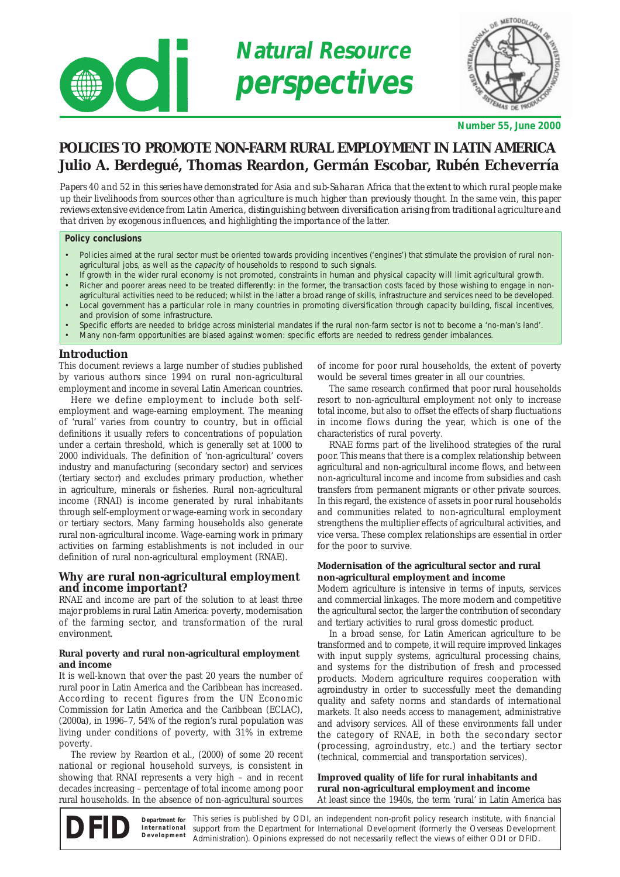

| Š  | OLOGI |  |
|----|-------|--|
| Q, | ucky  |  |

**Number 55, June 2000**

# **POLICIES TO PROMOTE NON-FARM RURAL EMPLOYMENT IN LATIN AMERICA Julio A. Berdegué, Thomas Reardon, Germán Escobar, Rubén Echeverría**

*Papers 40 and 52 in this series have demonstrated for Asia and sub-Saharan Africa that the extent to which rural people make up their livelihoods from sources other than agriculture is much higher than previously thought. In the same vein, this paper reviews extensive evidence from Latin America, distinguishing between diversification arising from traditional agriculture and that driven by exogenous influences, and highlighting the importance of the latter.*

#### **Policy conclusions**

 $\overline{\bigcirc}$ 

- Policies aimed at the rural sector must be oriented towards providing incentives ('engines') that stimulate the provision of rural nonagricultural jobs, as well as the capacity of households to respond to such signals.
- If growth in the wider rural economy is not promoted, constraints in human and physical capacity will limit agricultural growth.
- Richer and poorer areas need to be treated differently: in the former, the transaction costs faced by those wishing to engage in nonagricultural activities need to be reduced; whilst in the latter a broad range of skills, infrastructure and services need to be developed.
- Local government has a particular role in many countries in promoting diversification through capacity building, fiscal incentives, and provision of some infrastructure.
- Specific efforts are needed to bridge across ministerial mandates if the rural non-farm sector is not to become a 'no-man's land'.
- Many non-farm opportunities are biased against women: specific efforts are needed to redress gender imbalances.

# **Introduction**

This document reviews a large number of studies published by various authors since 1994 on rural non-agricultural employment and income in several Latin American countries.

Here we define employment to include both selfemployment and wage-earning employment. The meaning of 'rural' varies from country to country, but in official definitions it usually refers to concentrations of population under a certain threshold, which is generally set at 1000 to 2000 individuals. The definition of 'non-agricultural' covers industry and manufacturing (secondary sector) and services (tertiary sector) and excludes primary production, whether in agriculture, minerals or fisheries. Rural non-agricultural income (RNAI) is income generated by rural inhabitants through self-employment or wage-earning work in secondary or tertiary sectors. Many farming households also generate rural non-agricultural income. Wage-earning work in primary activities on farming establishments is not included in our definition of rural non-agricultural employment (RNAE).

# **Why are rural non-agricultural employment and income important?**

RNAE and income are part of the solution to at least three major problems in rural Latin America: poverty, modernisation of the farming sector, and transformation of the rural environment.

#### **Rural poverty and rural non-agricultural employment and income**

It is well-known that over the past 20 years the number of rural poor in Latin America and the Caribbean has increased. According to recent figures from the UN Economic Commission for Latin America and the Caribbean (ECLAC), (2000a), in 1996–7, 54% of the region's rural population was living under conditions of poverty, with 31% in extreme poverty.

The review by Reardon et al., (2000) of some 20 recent national or regional household surveys, is consistent in showing that RNAI represents a very high – and in recent decades increasing – percentage of total income among poor rural households. In the absence of non-agricultural sources of income for poor rural households, the extent of poverty would be several times greater in all our countries.

The same research confirmed that poor rural households resort to non-agricultural employment not only to increase total income, but also to offset the effects of sharp fluctuations in income flows during the year, which is one of the characteristics of rural poverty.

RNAE forms part of the livelihood strategies of the rural poor. This means that there is a complex relationship between agricultural and non-agricultural income flows, and between non-agricultural income and income from subsidies and cash transfers from permanent migrants or other private sources. In this regard, the existence of assets in poor rural households and communities related to non-agricultural employment strengthens the multiplier effects of agricultural activities, and vice versa. These complex relationships are essential in order for the poor to survive.

## **Modernisation of the agricultural sector and rural non-agricultural employment and income**

Modern agriculture is intensive in terms of inputs, services and commercial linkages. The more modern and competitive the agricultural sector, the larger the contribution of secondary and tertiary activities to rural gross domestic product.

In a broad sense, for Latin American agriculture to be transformed and to compete, it will require improved linkages with input supply systems, agricultural processing chains, and systems for the distribution of fresh and processed products. Modern agriculture requires cooperation with agroindustry in order to successfully meet the demanding quality and safety norms and standards of international markets. It also needs access to management, administrative and advisory services. All of these environments fall under the category of RNAE, in both the secondary sector (processing, agroindustry, etc.) and the tertiary sector (technical, commercial and transportation services).

#### **Improved quality of life for rural inhabitants and rural non-agricultural employment and income** At least since the 1940s, the term 'rural' in Latin America has

This series is published by ODI, an independent non-profit policy research institute, with financial support from the Department for International Development (formerly the Overseas Development Administration). Opinions expressed do not necessarily reflect the views of either ODI or DFID. **Department for International Development**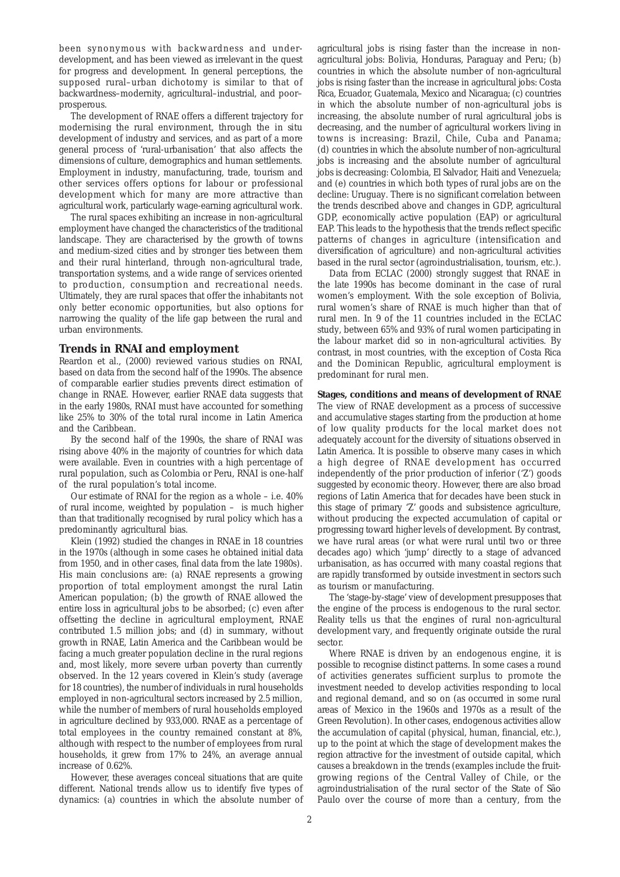been synonymous with backwardness and underdevelopment, and has been viewed as irrelevant in the quest for progress and development. In general perceptions, the supposed rural–urban dichotomy is similar to that of backwardness–modernity, agricultural–industrial, and poor– prosperous.

The development of RNAE offers a different trajectory for modernising the rural environment, through the *in situ* development of industry and services, and as part of a more general process of 'rural-urbanisation' that also affects the dimensions of culture, demographics and human settlements. Employment in industry, manufacturing, trade, tourism and other services offers options for labour or professional development which for many are more attractive than agricultural work, particularly wage-earning agricultural work.

The rural spaces exhibiting an increase in non-agricultural employment have changed the characteristics of the traditional landscape. They are characterised by the growth of towns and medium-sized cities and by stronger ties between them and their rural hinterland, through non-agricultural trade, transportation systems, and a wide range of services oriented to production, consumption and recreational needs. Ultimately, they are rural spaces that offer the inhabitants not only better economic opportunities, but also options for narrowing the quality of the life gap between the rural and urban environments.

# **Trends in RNAI and employment**

Reardon et al., (2000) reviewed various studies on RNAI, based on data from the second half of the 1990s. The absence of comparable earlier studies prevents direct estimation of change in RNAE. However, earlier RNAE data suggests that in the early 1980s, RNAI must have accounted for something like 25% to 30% of the total rural income in Latin America and the Caribbean.

By the second half of the 1990s, the share of RNAI was rising above 40% in the majority of countries for which data were available. Even in countries with a high percentage of rural population, such as Colombia or Peru, RNAI is one-half of the rural population's total income.

Our estimate of RNAI for the region as a whole – i.e. 40% of rural income, weighted by population – is much higher than that traditionally recognised by rural policy which has a predominantly agricultural bias.

Klein (1992) studied the changes in RNAE in 18 countries in the 1970s (although in some cases he obtained initial data from 1950, and in other cases, final data from the late 1980s). His main conclusions are: (a) RNAE represents a growing proportion of total employment amongst the rural Latin American population; (b) the growth of RNAE allowed the entire loss in agricultural jobs to be absorbed; (c) even after offsetting the decline in agricultural employment, RNAE contributed 1.5 million jobs; and (d) in summary, without growth in RNAE, Latin America and the Caribbean would be facing a much greater population decline in the rural regions and, most likely, more severe urban poverty than currently observed. In the 12 years covered in Klein's study (average for 18 countries), the number of individuals in rural households employed in non-agricultural sectors increased by 2.5 million, while the number of members of rural households employed in agriculture declined by 933,000. RNAE as a percentage of total employees in the country remained constant at 8%, although with respect to the number of employees from rural households, it grew from 17% to 24%, an average annual increase of 0.62%.

However, these averages conceal situations that are quite different. National trends allow us to identify five types of dynamics: (a) countries in which the absolute number of agricultural jobs is rising faster than the increase in nonagricultural jobs: Bolivia, Honduras, Paraguay and Peru; (b) countries in which the absolute number of non-agricultural jobs is rising faster than the increase in agricultural jobs: Costa Rica, Ecuador, Guatemala, Mexico and Nicaragua; (c) countries in which the absolute number of non-agricultural jobs is increasing, the absolute number of rural agricultural jobs is decreasing, and the number of agricultural workers living in towns is increasing: Brazil, Chile, Cuba and Panama; (d) countries in which the absolute number of non-agricultural jobs is increasing and the absolute number of agricultural jobs is decreasing: Colombia, El Salvador, Haiti and Venezuela; and (e) countries in which both types of rural jobs are on the decline: Uruguay. There is no significant correlation between the trends described above and changes in GDP, agricultural GDP, economically active population (EAP) or agricultural EAP. This leads to the hypothesis that the trends reflect specific patterns of changes in agriculture (intensification and diversification of agriculture) and non-agricultural activities based in the rural sector (agroindustrialisation, tourism, etc.).

Data from ECLAC (2000) strongly suggest that RNAE in the late 1990s has become dominant in the case of rural women's employment. With the sole exception of Bolivia, rural women's share of RNAE is much higher than that of rural men. In 9 of the 11 countries included in the ECLAC study, between 65% and 93% of rural women participating in the labour market did so in non-agricultural activities. By contrast, in most countries, with the exception of Costa Rica and the Dominican Republic, agricultural employment is predominant for rural men.

## **Stages, conditions and means of development of RNAE**

The view of RNAE development as a process of successive and accumulative stages starting from the production at home of low quality products for the local market does not adequately account for the diversity of situations observed in Latin America. It is possible to observe many cases in which a high degree of RNAE development has occurred independently of the prior production of inferior ('Z') goods suggested by economic theory. However, there are also broad regions of Latin America that for decades have been stuck in this stage of primary 'Z' goods and subsistence agriculture, without producing the expected accumulation of capital or progressing toward higher levels of development. By contrast, we have rural areas (or what were rural until two or three decades ago) which 'jump' directly to a stage of advanced urbanisation, as has occurred with many coastal regions that are rapidly transformed by outside investment in sectors such as tourism or manufacturing.

The 'stage-by-stage' view of development presupposes that the engine of the process is endogenous to the rural sector. Reality tells us that the engines of rural non-agricultural development vary, and frequently originate outside the rural sector.

Where RNAE *is* driven by an endogenous engine, it is possible to recognise distinct patterns. In some cases a round of activities generates sufficient surplus to promote the investment needed to develop activities responding to local and regional demand, and so on (as occurred in some rural areas of Mexico in the 1960s and 1970s as a result of the Green Revolution). In other cases, endogenous activities allow the accumulation of capital (physical, human, financial, etc.), up to the point at which the stage of development makes the region attractive for the investment of outside capital, which causes a breakdown in the trends (examples include the fruitgrowing regions of the Central Valley of Chile, or the agroindustrialisation of the rural sector of the State of São Paulo over the course of more than a century, from the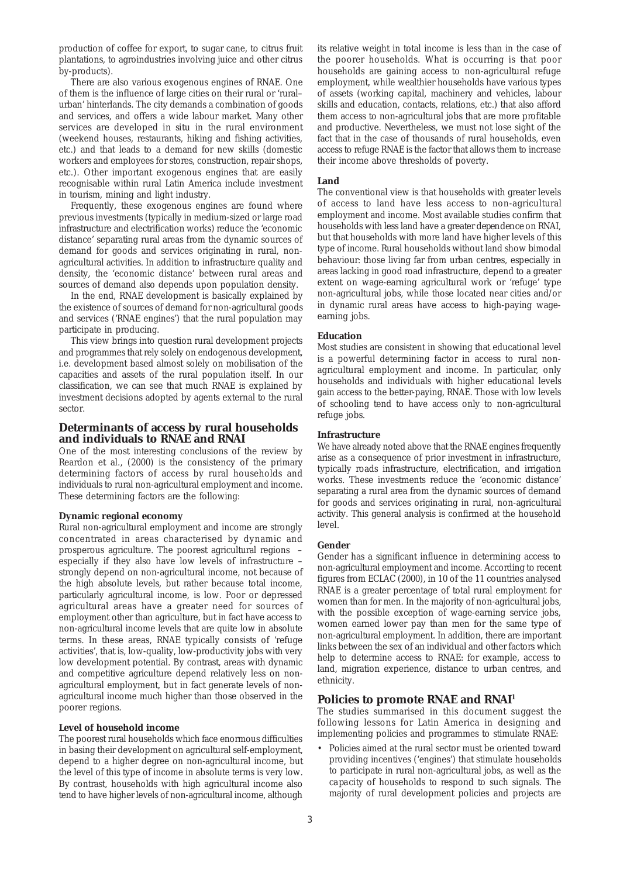production of coffee for export, to sugar cane, to citrus fruit plantations, to agroindustries involving juice and other citrus by-products).

There are also various exogenous engines of RNAE. One of them is the influence of large cities on their rural or 'rural– urban' hinterlands. The city demands a combination of goods and services, and offers a wide labour market. Many other services are developed *in situ* in the rural environment (weekend houses, restaurants, hiking and fishing activities, etc.) and that leads to a demand for new skills (domestic workers and employees for stores, construction, repair shops, etc.). Other important exogenous engines that are easily recognisable within rural Latin America include investment in tourism, mining and light industry.

Frequently, these exogenous engines are found where previous investments (typically in medium-sized or large road infrastructure and electrification works) reduce the 'economic distance' separating rural areas from the dynamic sources of demand for goods and services originating in rural, nonagricultural activities. In addition to infrastructure quality and density, the 'economic distance' between rural areas and sources of demand also depends upon population density.

In the end, RNAE development is basically explained by the existence of sources of demand for non-agricultural goods and services ('RNAE engines') that the rural population may participate in producing.

This view brings into question rural development projects and programmes that rely solely on endogenous development, i.e. development based almost solely on mobilisation of the capacities and assets of the rural population itself. In our classification, we can see that much RNAE is explained by investment decisions adopted by agents external to the rural sector.

# **Determinants of access by rural households and individuals to RNAE and RNAI**

One of the most interesting conclusions of the review by Reardon et al., (2000) is the consistency of the primary determining factors of access by rural households and individuals to rural non-agricultural employment and income. These determining factors are the following:

## **Dynamic regional economy**

Rural non-agricultural employment and income are strongly concentrated in areas characterised by dynamic and prosperous agriculture. The poorest agricultural regions – especially if they also have low levels of infrastructure – strongly depend on non-agricultural income, not because of the high absolute levels, but rather because total income, particularly agricultural income, is low. Poor or depressed agricultural areas have a greater need for sources of employment other than agriculture, but in fact have access to non-agricultural income levels that are quite low in absolute terms. In these areas, RNAE typically consists of 'refuge activities', that is, low-quality, low-productivity jobs with very low development potential. By contrast, areas with dynamic and competitive agriculture depend relatively less on nonagricultural employment, but in fact generate levels of nonagricultural income much higher than those observed in the poorer regions.

#### **Level of household income**

The poorest rural households which face enormous difficulties in basing their development on agricultural self-employment, depend to a higher degree on non-agricultural income, but the level of this type of income in absolute terms is very low. By contrast, households with high agricultural income also tend to have higher levels of non-agricultural income, although its relative weight in total income is less than in the case of the poorer households. What is occurring is that poor households are gaining access to non-agricultural refuge employment, while wealthier households have various types of assets (working capital, machinery and vehicles, labour skills and education, contacts, relations, etc.) that also afford them access to non-agricultural jobs that are more profitable and productive. Nevertheless, we must not lose sight of the fact that in the case of thousands of rural households, even access to refuge RNAE is the factor that allows them to increase their income above thresholds of poverty.

#### **Land**

The conventional view is that households with greater levels of access to land have less access to non-agricultural employment and income. Most available studies confirm that households with less land have a greater *dependence* on RNAI, but that households with more land have higher levels of this type of income. Rural households without land show bimodal behaviour: those living far from urban centres, especially in areas lacking in good road infrastructure, depend to a greater extent on wage-earning agricultural work or 'refuge' type non-agricultural jobs, while those located near cities and/or in dynamic rural areas have access to high-paying wageearning jobs.

## **Education**

Most studies are consistent in showing that educational level is a powerful determining factor in access to rural nonagricultural employment and income. In particular, only households and individuals with higher educational levels gain access to the better-paying, RNAE. Those with low levels of schooling tend to have access only to non-agricultural refuge jobs.

#### **Infrastructure**

We have already noted above that the RNAE engines frequently arise as a consequence of prior investment in infrastructure, typically roads infrastructure, electrification, and irrigation works. These investments reduce the 'economic distance' separating a rural area from the dynamic sources of demand for goods and services originating in rural, non-agricultural activity. This general analysis is confirmed at the household level.

#### **Gender**

Gender has a significant influence in determining access to non-agricultural employment and income. According to recent figures from ECLAC (2000), in 10 of the 11 countries analysed RNAE is a greater percentage of total rural employment for women than for men. In the majority of non-agricultural jobs, with the possible exception of wage-earning service jobs, women earned lower pay than men for the same type of non-agricultural employment. In addition, there are important links between the sex of an individual and other factors which help to determine access to RNAE: for example, access to land, migration experience, distance to urban centres, and ethnicity.

# **Policies to promote RNAE and RNAI1**

The studies summarised in this document suggest the following lessons for Latin America in designing and implementing policies and programmes to stimulate RNAE:

• Policies aimed at the rural sector must be oriented toward providing incentives ('engines') that stimulate households to participate in rural non-agricultural jobs, as well as the *capacity* of households to respond to such signals. The majority of rural development policies and projects are